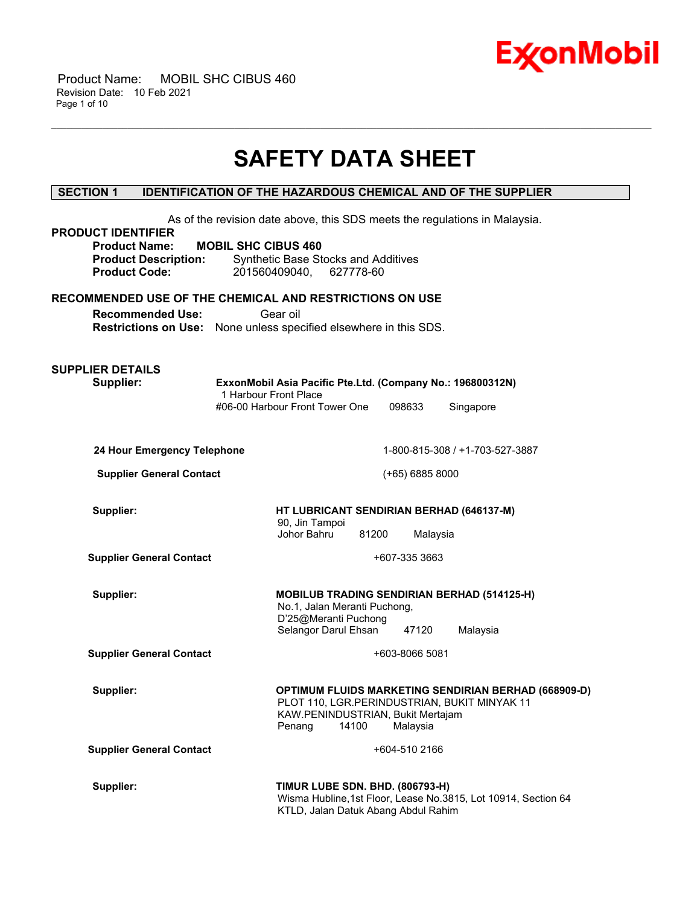

 Product Name: MOBIL SHC CIBUS 460 Revision Date: 10 Feb 2021 Page 1 of 10

# **SAFETY DATA SHEET**

\_\_\_\_\_\_\_\_\_\_\_\_\_\_\_\_\_\_\_\_\_\_\_\_\_\_\_\_\_\_\_\_\_\_\_\_\_\_\_\_\_\_\_\_\_\_\_\_\_\_\_\_\_\_\_\_\_\_\_\_\_\_\_\_\_\_\_\_\_\_\_\_\_\_\_\_\_\_\_\_\_\_\_\_\_\_\_\_\_\_\_\_\_\_\_\_\_\_\_\_\_\_\_\_\_\_\_\_\_\_\_\_\_\_\_\_\_\_

# **SECTION 1 IDENTIFICATION OF THE HAZARDOUS CHEMICAL AND OF THE SUPPLIER**

|                                                                                                          |                                                                                                 | As of the revision date above, this SDS meets the regulations in Malaysia.                                                                                   |  |
|----------------------------------------------------------------------------------------------------------|-------------------------------------------------------------------------------------------------|--------------------------------------------------------------------------------------------------------------------------------------------------------------|--|
| <b>PRODUCT IDENTIFIER</b><br><b>Product Name:</b><br><b>Product Description:</b><br><b>Product Code:</b> | <b>MOBIL SHC CIBUS 460</b><br>Synthetic Base Stocks and Additives<br>201560409040,<br>627778-60 |                                                                                                                                                              |  |
| RECOMMENDED USE OF THE CHEMICAL AND RESTRICTIONS ON USE<br><b>Recommended Use:</b>                       | Gear oil<br>Restrictions on Use: None unless specified elsewhere in this SDS.                   |                                                                                                                                                              |  |
| <b>SUPPLIER DETAILS</b><br>Supplier:                                                                     | 1 Harbour Front Place<br>#06-00 Harbour Front Tower One                                         | ExxonMobil Asia Pacific Pte.Ltd. (Company No.: 196800312N)<br>098633<br>Singapore                                                                            |  |
| 24 Hour Emergency Telephone                                                                              |                                                                                                 | 1-800-815-308 / +1-703-527-3887                                                                                                                              |  |
| <b>Supplier General Contact</b>                                                                          |                                                                                                 | $(+65)$ 6885 8000                                                                                                                                            |  |
| Supplier:                                                                                                | 90, Jin Tampoi<br>Johor Bahru                                                                   | HT LUBRICANT SENDIRIAN BERHAD (646137-M)<br>81200<br>Malaysia                                                                                                |  |
| <b>Supplier General Contact</b>                                                                          |                                                                                                 | +607-335 3663                                                                                                                                                |  |
| Supplier:                                                                                                | No.1, Jalan Meranti Puchong,<br>D'25@Meranti Puchong<br>Selangor Darul Ehsan                    | <b>MOBILUB TRADING SENDIRIAN BERHAD (514125-H)</b><br>47120<br>Malaysia                                                                                      |  |
| <b>Supplier General Contact</b>                                                                          |                                                                                                 | +603-8066 5081                                                                                                                                               |  |
| Supplier:                                                                                                | Penang<br>14100                                                                                 | <b>OPTIMUM FLUIDS MARKETING SENDIRIAN BERHAD (668909-D)</b><br>PLOT 110, LGR.PERINDUSTRIAN, BUKIT MINYAK 11<br>KAW.PENINDUSTRIAN, Bukit Mertajam<br>Malaysia |  |
| <b>Supplier General Contact</b>                                                                          |                                                                                                 | +604-510 2166                                                                                                                                                |  |
| Supplier:                                                                                                | <b>TIMUR LUBE SDN. BHD. (806793-H)</b>                                                          | Wisma Hubline, 1st Floor, Lease No.3815, Lot 10914, Section 64<br>KTLD, Jalan Datuk Abang Abdul Rahim                                                        |  |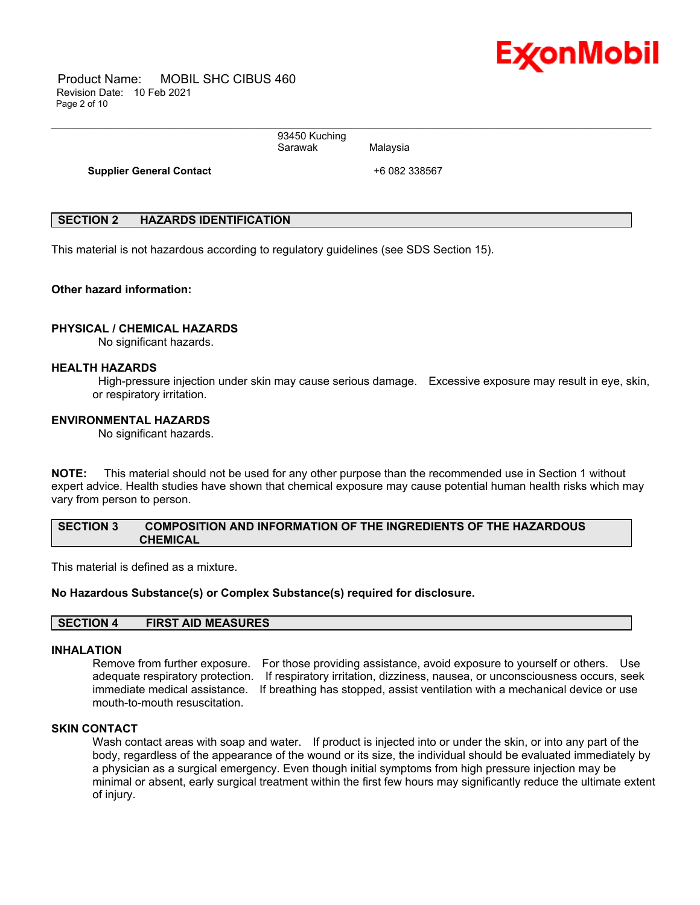

 Product Name: MOBIL SHC CIBUS 460 Revision Date: 10 Feb 2021 Page 2 of 10

| 93450 Kuching |          |
|---------------|----------|
| Sarawak       | Malaysia |

\_\_\_\_\_\_\_\_\_\_\_\_\_\_\_\_\_\_\_\_\_\_\_\_\_\_\_\_\_\_\_\_\_\_\_\_\_\_\_\_\_\_\_\_\_\_\_\_\_\_\_\_\_\_\_\_\_\_\_\_\_\_\_\_\_\_\_\_\_\_\_\_\_\_\_\_\_\_\_\_\_\_\_\_\_\_\_\_\_\_\_\_\_\_\_\_\_\_\_\_\_\_\_\_\_\_\_\_\_\_\_\_\_\_\_\_\_\_

**Supplier General Contact** +6 082 338567

# **SECTION 2 HAZARDS IDENTIFICATION**

This material is not hazardous according to regulatory guidelines (see SDS Section 15).

#### **Other hazard information:**

#### **PHYSICAL / CHEMICAL HAZARDS**

No significant hazards.

#### **HEALTH HAZARDS**

 High-pressure injection under skin may cause serious damage. Excessive exposure may result in eye, skin, or respiratory irritation.

# **ENVIRONMENTAL HAZARDS**

No significant hazards.

**NOTE:** This material should not be used for any other purpose than the recommended use in Section 1 without expert advice. Health studies have shown that chemical exposure may cause potential human health risks which may vary from person to person.

# **SECTION 3 COMPOSITION AND INFORMATION OF THE INGREDIENTS OF THE HAZARDOUS CHEMICAL**

This material is defined as a mixture.

#### **No Hazardous Substance(s) or Complex Substance(s) required for disclosure.**

# **SECTION 4 FIRST AID MEASURES**

#### **INHALATION**

Remove from further exposure. For those providing assistance, avoid exposure to yourself or others. Use adequate respiratory protection. If respiratory irritation, dizziness, nausea, or unconsciousness occurs, seek immediate medical assistance. If breathing has stopped, assist ventilation with a mechanical device or use mouth-to-mouth resuscitation.

# **SKIN CONTACT**

Wash contact areas with soap and water. If product is injected into or under the skin, or into any part of the body, regardless of the appearance of the wound or its size, the individual should be evaluated immediately by a physician as a surgical emergency. Even though initial symptoms from high pressure injection may be minimal or absent, early surgical treatment within the first few hours may significantly reduce the ultimate extent of injury.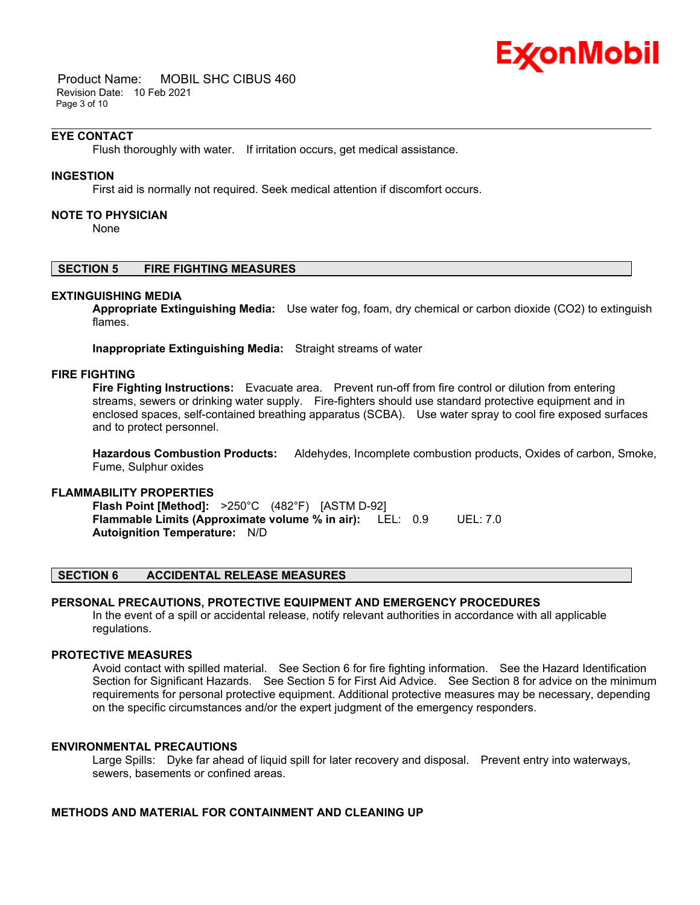

 Product Name: MOBIL SHC CIBUS 460 Revision Date: 10 Feb 2021 Page 3 of 10

#### **EYE CONTACT**

Flush thoroughly with water. If irritation occurs, get medical assistance.

#### **INGESTION**

First aid is normally not required. Seek medical attention if discomfort occurs.

#### **NOTE TO PHYSICIAN**

None

#### **SECTION 5 FIRE FIGHTING MEASURES**

#### **EXTINGUISHING MEDIA**

**Appropriate Extinguishing Media:** Use water fog, foam, dry chemical or carbon dioxide (CO2) to extinguish flames.

\_\_\_\_\_\_\_\_\_\_\_\_\_\_\_\_\_\_\_\_\_\_\_\_\_\_\_\_\_\_\_\_\_\_\_\_\_\_\_\_\_\_\_\_\_\_\_\_\_\_\_\_\_\_\_\_\_\_\_\_\_\_\_\_\_\_\_\_\_\_\_\_\_\_\_\_\_\_\_\_\_\_\_\_\_\_\_\_\_\_\_\_\_\_\_\_\_\_\_\_\_\_\_\_\_\_\_\_\_\_\_\_\_\_\_\_\_\_

**Inappropriate Extinguishing Media:** Straight streams of water

#### **FIRE FIGHTING**

**Fire Fighting Instructions:** Evacuate area. Prevent run-off from fire control or dilution from entering streams, sewers or drinking water supply. Fire-fighters should use standard protective equipment and in enclosed spaces, self-contained breathing apparatus (SCBA). Use water spray to cool fire exposed surfaces and to protect personnel.

**Hazardous Combustion Products:** Aldehydes, Incomplete combustion products, Oxides of carbon, Smoke, Fume, Sulphur oxides

#### **FLAMMABILITY PROPERTIES**

**Flash Point [Method]:** >250°C (482°F) [ASTM D-92] **Flammable Limits (Approximate volume % in air):** LEL: 0.9 UEL: 7.0 **Autoignition Temperature:** N/D

#### **SECTION 6 ACCIDENTAL RELEASE MEASURES**

#### **PERSONAL PRECAUTIONS, PROTECTIVE EQUIPMENT AND EMERGENCY PROCEDURES**

In the event of a spill or accidental release, notify relevant authorities in accordance with all applicable regulations.

#### **PROTECTIVE MEASURES**

Avoid contact with spilled material. See Section 6 for fire fighting information. See the Hazard Identification Section for Significant Hazards. See Section 5 for First Aid Advice. See Section 8 for advice on the minimum requirements for personal protective equipment. Additional protective measures may be necessary, depending on the specific circumstances and/or the expert judgment of the emergency responders.

# **ENVIRONMENTAL PRECAUTIONS**

Large Spills: Dyke far ahead of liquid spill for later recovery and disposal. Prevent entry into waterways, sewers, basements or confined areas.

# **METHODS AND MATERIAL FOR CONTAINMENT AND CLEANING UP**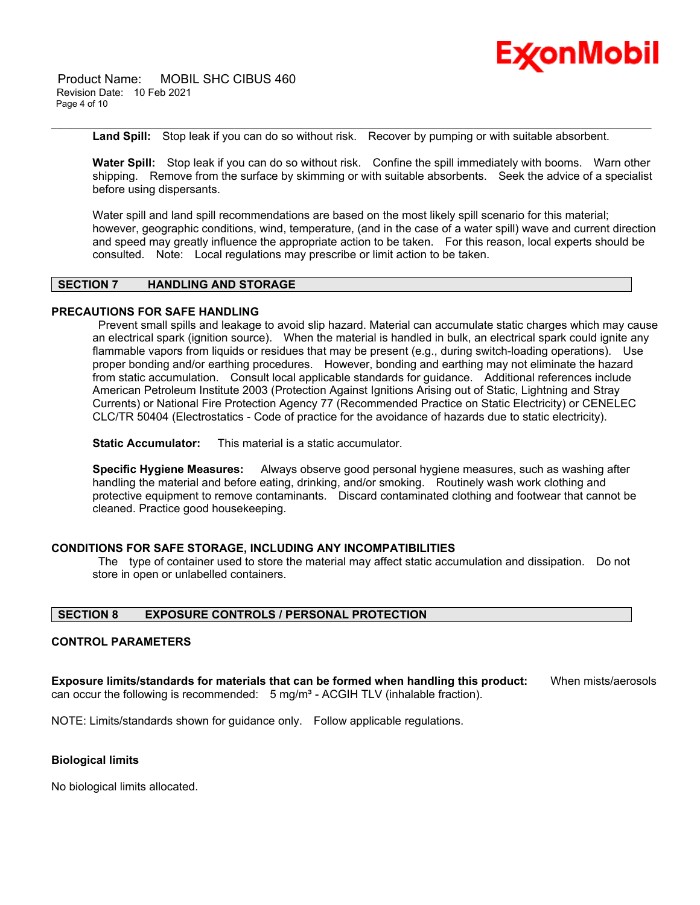Product Name: MOBIL SHC CIBUS 460 Revision Date: 10 Feb 2021 Page 4 of 10



\_\_\_\_\_\_\_\_\_\_\_\_\_\_\_\_\_\_\_\_\_\_\_\_\_\_\_\_\_\_\_\_\_\_\_\_\_\_\_\_\_\_\_\_\_\_\_\_\_\_\_\_\_\_\_\_\_\_\_\_\_\_\_\_\_\_\_\_\_\_\_\_\_\_\_\_\_\_\_\_\_\_\_\_\_\_\_\_\_\_\_\_\_\_\_\_\_\_\_\_\_\_\_\_\_\_\_\_\_\_\_\_\_\_\_\_\_\_ **Land Spill:** Stop leak if you can do so without risk. Recover by pumping or with suitable absorbent.

**Water Spill:** Stop leak if you can do so without risk. Confine the spill immediately with booms. Warn other shipping. Remove from the surface by skimming or with suitable absorbents. Seek the advice of a specialist before using dispersants.

Water spill and land spill recommendations are based on the most likely spill scenario for this material; however, geographic conditions, wind, temperature, (and in the case of a water spill) wave and current direction and speed may greatly influence the appropriate action to be taken. For this reason, local experts should be consulted. Note: Local regulations may prescribe or limit action to be taken.

# **SECTION 7 HANDLING AND STORAGE**

# **PRECAUTIONS FOR SAFE HANDLING**

 Prevent small spills and leakage to avoid slip hazard. Material can accumulate static charges which may cause an electrical spark (ignition source). When the material is handled in bulk, an electrical spark could ignite any flammable vapors from liquids or residues that may be present (e.g., during switch-loading operations). Use proper bonding and/or earthing procedures. However, bonding and earthing may not eliminate the hazard from static accumulation. Consult local applicable standards for guidance. Additional references include American Petroleum Institute 2003 (Protection Against Ignitions Arising out of Static, Lightning and Stray Currents) or National Fire Protection Agency 77 (Recommended Practice on Static Electricity) or CENELEC CLC/TR 50404 (Electrostatics - Code of practice for the avoidance of hazards due to static electricity).

**Static Accumulator:** This material is a static accumulator.

**Specific Hygiene Measures:** Always observe good personal hygiene measures, such as washing after handling the material and before eating, drinking, and/or smoking. Routinely wash work clothing and protective equipment to remove contaminants. Discard contaminated clothing and footwear that cannot be cleaned. Practice good housekeeping.

# **CONDITIONS FOR SAFE STORAGE, INCLUDING ANY INCOMPATIBILITIES**

 The type of container used to store the material may affect static accumulation and dissipation. Do not store in open or unlabelled containers.

#### **SECTION 8 EXPOSURE CONTROLS / PERSONAL PROTECTION**

#### **CONTROL PARAMETERS**

**Exposure limits/standards for materials that can be formed when handling this product:** When mists/aerosols can occur the following is recommended:  $5$  mg/m<sup>3</sup> - ACGIH TLV (inhalable fraction).

NOTE: Limits/standards shown for guidance only. Follow applicable regulations.

# **Biological limits**

No biological limits allocated.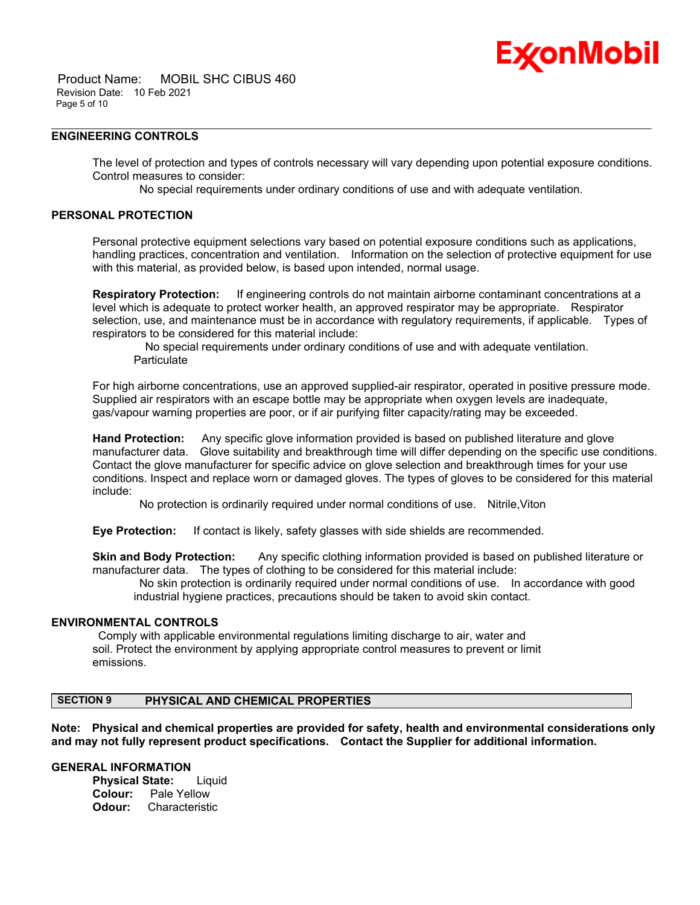# **Ex⁄onMobil**

 Product Name: MOBIL SHC CIBUS 460 Revision Date: 10 Feb 2021 Page 5 of 10

# **ENGINEERING CONTROLS**

The level of protection and types of controls necessary will vary depending upon potential exposure conditions. Control measures to consider:

No special requirements under ordinary conditions of use and with adequate ventilation.

\_\_\_\_\_\_\_\_\_\_\_\_\_\_\_\_\_\_\_\_\_\_\_\_\_\_\_\_\_\_\_\_\_\_\_\_\_\_\_\_\_\_\_\_\_\_\_\_\_\_\_\_\_\_\_\_\_\_\_\_\_\_\_\_\_\_\_\_\_\_\_\_\_\_\_\_\_\_\_\_\_\_\_\_\_\_\_\_\_\_\_\_\_\_\_\_\_\_\_\_\_\_\_\_\_\_\_\_\_\_\_\_\_\_\_\_\_\_

# **PERSONAL PROTECTION**

Personal protective equipment selections vary based on potential exposure conditions such as applications, handling practices, concentration and ventilation. Information on the selection of protective equipment for use with this material, as provided below, is based upon intended, normal usage.

**Respiratory Protection:** If engineering controls do not maintain airborne contaminant concentrations at a level which is adequate to protect worker health, an approved respirator may be appropriate. Respirator selection, use, and maintenance must be in accordance with regulatory requirements, if applicable. Types of respirators to be considered for this material include:

 No special requirements under ordinary conditions of use and with adequate ventilation. **Particulate** 

For high airborne concentrations, use an approved supplied-air respirator, operated in positive pressure mode. Supplied air respirators with an escape bottle may be appropriate when oxygen levels are inadequate, gas/vapour warning properties are poor, or if air purifying filter capacity/rating may be exceeded.

**Hand Protection:** Any specific glove information provided is based on published literature and glove manufacturer data. Glove suitability and breakthrough time will differ depending on the specific use conditions. Contact the glove manufacturer for specific advice on glove selection and breakthrough times for your use conditions. Inspect and replace worn or damaged gloves. The types of gloves to be considered for this material include:

No protection is ordinarily required under normal conditions of use. Nitrile,Viton

**Eye Protection:** If contact is likely, safety glasses with side shields are recommended.

**Skin and Body Protection:** Any specific clothing information provided is based on published literature or manufacturer data. The types of clothing to be considered for this material include:

 No skin protection is ordinarily required under normal conditions of use. In accordance with good industrial hygiene practices, precautions should be taken to avoid skin contact.

# **ENVIRONMENTAL CONTROLS**

 Comply with applicable environmental regulations limiting discharge to air, water and soil. Protect the environment by applying appropriate control measures to prevent or limit emissions.

# **SECTION 9 PHYSICAL AND CHEMICAL PROPERTIES**

**Note: Physical and chemical properties are provided for safety, health and environmental considerations only and may not fully represent product specifications. Contact the Supplier for additional information.**

# **GENERAL INFORMATION**

**Physical State:** Liquid **Colour:** Pale Yellow **Odour:** Characteristic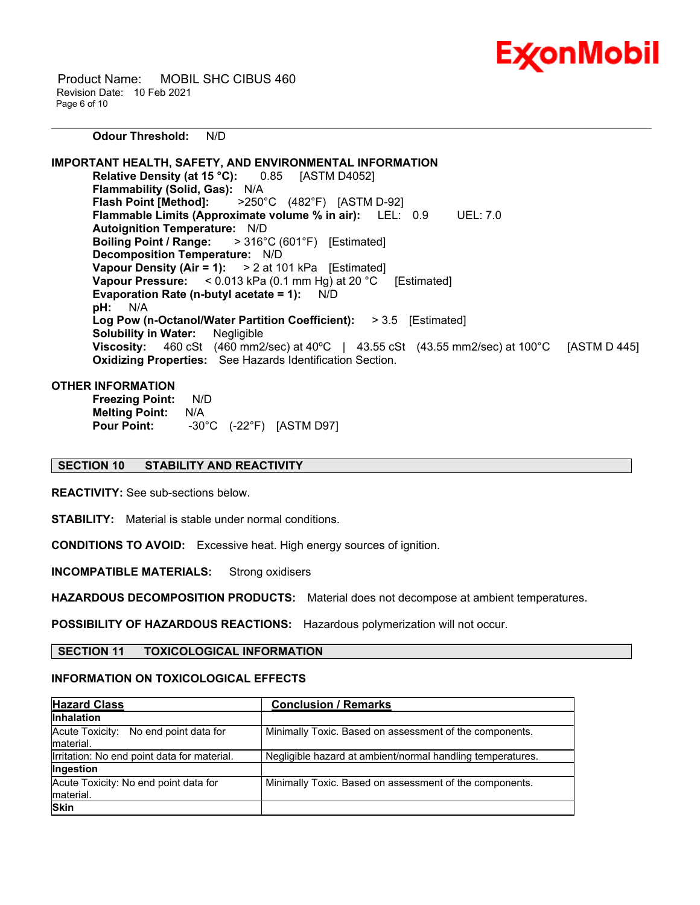

 Product Name: MOBIL SHC CIBUS 460 Revision Date: 10 Feb 2021 Page 6 of 10

\_\_\_\_\_\_\_\_\_\_\_\_\_\_\_\_\_\_\_\_\_\_\_\_\_\_\_\_\_\_\_\_\_\_\_\_\_\_\_\_\_\_\_\_\_\_\_\_\_\_\_\_\_\_\_\_\_\_\_\_\_\_\_\_\_\_\_\_\_\_\_\_\_\_\_\_\_\_\_\_\_\_\_\_\_\_\_\_\_\_\_\_\_\_\_\_\_\_\_\_\_\_\_\_\_\_\_\_\_\_\_\_\_\_\_\_\_\_ **Odour Threshold:** N/D

**IMPORTANT HEALTH, SAFETY, AND ENVIRONMENTAL INFORMATION Relative Density (at 15 °C):** 0.85 [ASTM D4052] **Flammability (Solid, Gas):** N/A **Flash Point [Method]:** >250°C (482°F) [ASTM D-92] **Flammable Limits (Approximate volume % in air):** LEL: 0.9 UEL: 7.0 **Autoignition Temperature:** N/D **Boiling Point / Range:** > 316°C (601°F) [Estimated] **Decomposition Temperature:** N/D **Vapour Density (Air = 1):** > 2 at 101 kPa [Estimated] **Vapour Pressure:** < 0.013 kPa (0.1 mm Hg) at 20 °C [Estimated] **Evaporation Rate (n-butyl acetate = 1):** N/D **pH:** N/A **Log Pow (n-Octanol/Water Partition Coefficient):** > 3.5 [Estimated] **Solubility in Water:** Negligible **Viscosity:** 460 cSt (460 mm2/sec) at 40ºC | 43.55 cSt (43.55 mm2/sec) at 100°C [ASTM D 445] **Oxidizing Properties:** See Hazards Identification Section.

# **OTHER INFORMATION**

**Freezing Point:** N/D **Melting Point:** N/A **Pour Point:** -30°C (-22°F) [ASTM D97]

# **SECTION 10 STABILITY AND REACTIVITY**

**REACTIVITY:** See sub-sections below.

**STABILITY:** Material is stable under normal conditions.

**CONDITIONS TO AVOID:** Excessive heat. High energy sources of ignition.

**INCOMPATIBLE MATERIALS:** Strong oxidisers

**HAZARDOUS DECOMPOSITION PRODUCTS:** Material does not decompose at ambient temperatures.

**POSSIBILITY OF HAZARDOUS REACTIONS:** Hazardous polymerization will not occur.

**SECTION 11 TOXICOLOGICAL INFORMATION**

# **INFORMATION ON TOXICOLOGICAL EFFECTS**

| <b>Hazard Class</b>                                 | <b>Conclusion / Remarks</b>                                |
|-----------------------------------------------------|------------------------------------------------------------|
| <b>Inhalation</b>                                   |                                                            |
| Acute Toxicity: No end point data for<br>Imaterial. | Minimally Toxic. Based on assessment of the components.    |
| Irritation: No end point data for material.         | Negligible hazard at ambient/normal handling temperatures. |
| Ingestion                                           |                                                            |
| Acute Toxicity: No end point data for<br>material.  | Minimally Toxic. Based on assessment of the components.    |
| <b>Skin</b>                                         |                                                            |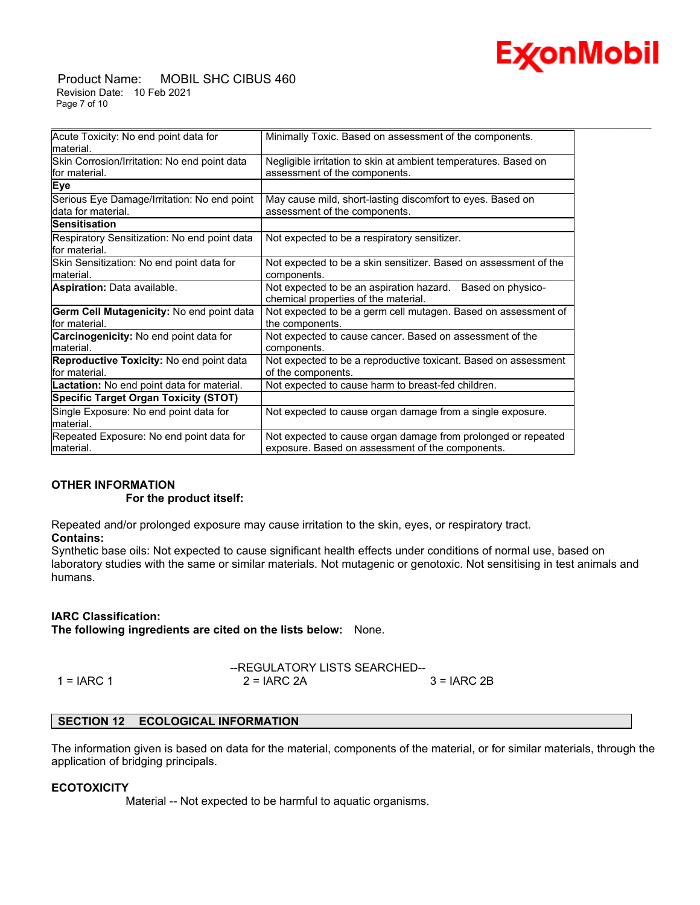

 Product Name: MOBIL SHC CIBUS 460 Revision Date: 10 Feb 2021 Page 7 of 10

| Acute Toxicity: No end point data for<br>lmaterial.                | Minimally Toxic. Based on assessment of the components.                                                           |
|--------------------------------------------------------------------|-------------------------------------------------------------------------------------------------------------------|
| Skin Corrosion/Irritation: No end point data<br>for material.      | Negligible irritation to skin at ambient temperatures. Based on<br>assessment of the components.                  |
| Eye                                                                |                                                                                                                   |
| Serious Eye Damage/Irritation: No end point<br>ldata for material. | May cause mild, short-lasting discomfort to eyes. Based on<br>assessment of the components.                       |
| <b>Sensitisation</b>                                               |                                                                                                                   |
| Respiratory Sensitization: No end point data<br>for material.      | Not expected to be a respiratory sensitizer.                                                                      |
| Skin Sensitization: No end point data for<br>Imaterial.            | Not expected to be a skin sensitizer. Based on assessment of the<br>components.                                   |
| Aspiration: Data available.                                        | Not expected to be an aspiration hazard. Based on physico-<br>chemical properties of the material.                |
| <b>Germ Cell Mutagenicity: No end point data</b><br>for material.  | Not expected to be a germ cell mutagen. Based on assessment of<br>the components.                                 |
| <b>Carcinogenicity:</b> No end point data for<br>lmaterial.        | Not expected to cause cancer. Based on assessment of the<br>components.                                           |
| <b>Reproductive Toxicity:</b> No end point data<br>for material.   | Not expected to be a reproductive toxicant. Based on assessment<br>of the components.                             |
| Lactation: No end point data for material.                         | Not expected to cause harm to breast-fed children.                                                                |
| <b>Specific Target Organ Toxicity (STOT)</b>                       |                                                                                                                   |
| Single Exposure: No end point data for<br>material.                | Not expected to cause organ damage from a single exposure.                                                        |
| Repeated Exposure: No end point data for<br>material.              | Not expected to cause organ damage from prolonged or repeated<br>exposure. Based on assessment of the components. |

# **OTHER INFORMATION**

#### **For the product itself:**

Repeated and/or prolonged exposure may cause irritation to the skin, eyes, or respiratory tract. **Contains:**

Synthetic base oils: Not expected to cause significant health effects under conditions of normal use, based on laboratory studies with the same or similar materials. Not mutagenic or genotoxic. Not sensitising in test animals and humans.

# **IARC Classification:**

**The following ingredients are cited on the lists below:** None.

--REGULATORY LISTS SEARCHED-- 1 = IARC 1 2 = IARC 2A 3 = IARC 2B

# **SECTION 12 ECOLOGICAL INFORMATION**

The information given is based on data for the material, components of the material, or for similar materials, through the application of bridging principals.

# **ECOTOXICITY**

Material -- Not expected to be harmful to aquatic organisms.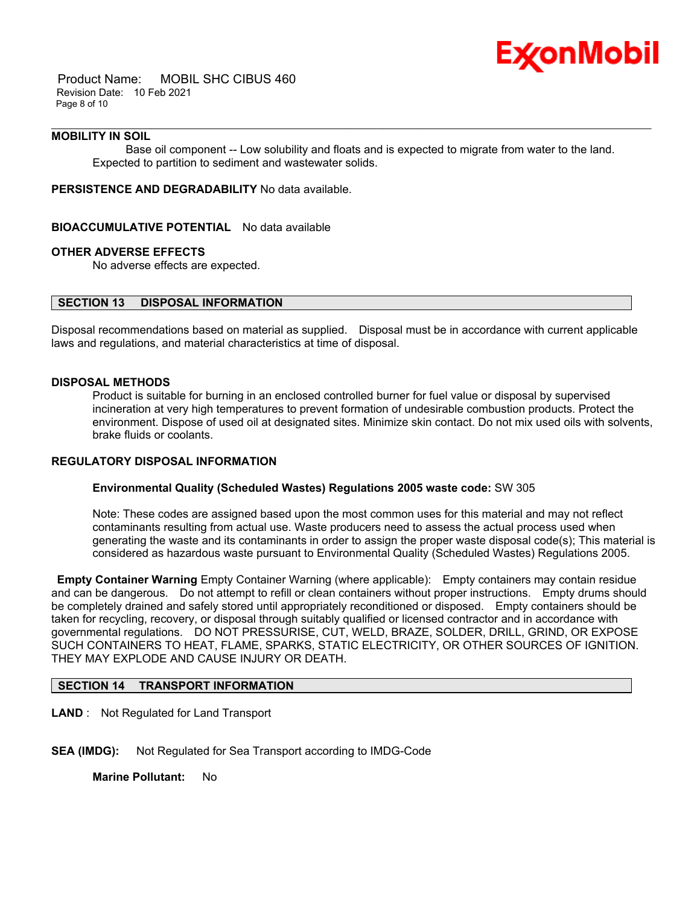

 Product Name: MOBIL SHC CIBUS 460 Revision Date: 10 Feb 2021 Page 8 of 10

#### **MOBILITY IN SOIL**

 Base oil component -- Low solubility and floats and is expected to migrate from water to the land. Expected to partition to sediment and wastewater solids.

\_\_\_\_\_\_\_\_\_\_\_\_\_\_\_\_\_\_\_\_\_\_\_\_\_\_\_\_\_\_\_\_\_\_\_\_\_\_\_\_\_\_\_\_\_\_\_\_\_\_\_\_\_\_\_\_\_\_\_\_\_\_\_\_\_\_\_\_\_\_\_\_\_\_\_\_\_\_\_\_\_\_\_\_\_\_\_\_\_\_\_\_\_\_\_\_\_\_\_\_\_\_\_\_\_\_\_\_\_\_\_\_\_\_\_\_\_\_

**PERSISTENCE AND DEGRADABILITY** No data available.

**BIOACCUMULATIVE POTENTIAL** No data available

# **OTHER ADVERSE EFFECTS**

No adverse effects are expected.

# **SECTION 13 DISPOSAL INFORMATION**

Disposal recommendations based on material as supplied. Disposal must be in accordance with current applicable laws and regulations, and material characteristics at time of disposal.

#### **DISPOSAL METHODS**

Product is suitable for burning in an enclosed controlled burner for fuel value or disposal by supervised incineration at very high temperatures to prevent formation of undesirable combustion products. Protect the environment. Dispose of used oil at designated sites. Minimize skin contact. Do not mix used oils with solvents, brake fluids or coolants.

#### **REGULATORY DISPOSAL INFORMATION**

#### **Environmental Quality (Scheduled Wastes) Regulations 2005 waste code:** SW 305

Note: These codes are assigned based upon the most common uses for this material and may not reflect contaminants resulting from actual use. Waste producers need to assess the actual process used when generating the waste and its contaminants in order to assign the proper waste disposal code(s); This material is considered as hazardous waste pursuant to Environmental Quality (Scheduled Wastes) Regulations 2005.

**Empty Container Warning** Empty Container Warning (where applicable): Empty containers may contain residue and can be dangerous. Do not attempt to refill or clean containers without proper instructions. Empty drums should be completely drained and safely stored until appropriately reconditioned or disposed. Empty containers should be taken for recycling, recovery, or disposal through suitably qualified or licensed contractor and in accordance with governmental regulations. DO NOT PRESSURISE, CUT, WELD, BRAZE, SOLDER, DRILL, GRIND, OR EXPOSE SUCH CONTAINERS TO HEAT, FLAME, SPARKS, STATIC ELECTRICITY, OR OTHER SOURCES OF IGNITION. THEY MAY EXPLODE AND CAUSE INJURY OR DEATH.

# **SECTION 14 TRANSPORT INFORMATION**

**LAND** : Not Regulated for Land Transport

**SEA (IMDG):** Not Regulated for Sea Transport according to IMDG-Code

**Marine Pollutant:** No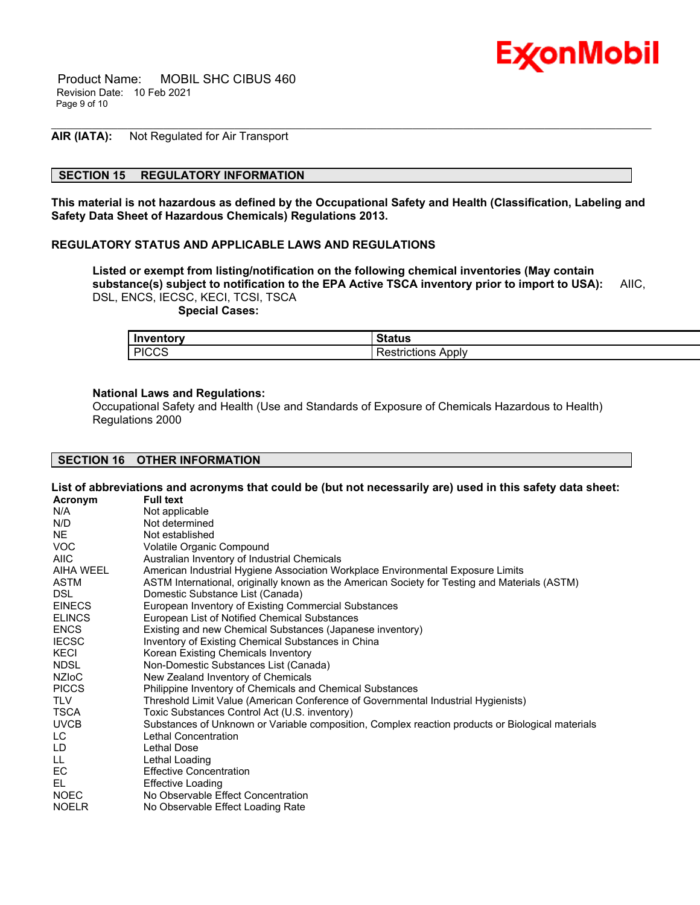

 Product Name: MOBIL SHC CIBUS 460 Revision Date: 10 Feb 2021 Page 9 of 10

**AIR (IATA):** Not Regulated for Air Transport

#### **SECTION 15 REGULATORY INFORMATION**

**This material is not hazardous as defined by the Occupational Safety and Health (Classification, Labeling and Safety Data Sheet of Hazardous Chemicals) Regulations 2013.**

\_\_\_\_\_\_\_\_\_\_\_\_\_\_\_\_\_\_\_\_\_\_\_\_\_\_\_\_\_\_\_\_\_\_\_\_\_\_\_\_\_\_\_\_\_\_\_\_\_\_\_\_\_\_\_\_\_\_\_\_\_\_\_\_\_\_\_\_\_\_\_\_\_\_\_\_\_\_\_\_\_\_\_\_\_\_\_\_\_\_\_\_\_\_\_\_\_\_\_\_\_\_\_\_\_\_\_\_\_\_\_\_\_\_\_\_\_\_

# **REGULATORY STATUS AND APPLICABLE LAWS AND REGULATIONS**

**Listed or exempt from listing/notification on the following chemical inventories (May contain substance(s) subject to notification to the EPA Active TSCA inventory prior to import to USA):** AIIC, DSL, ENCS, IECSC, KECI, TCSI, TSCA

 **Special Cases:**

| . . <b>. .</b><br>_Inv <sub></sub> | $-11 - 11 - 1$<br>, aus |
|------------------------------------|-------------------------|
| PIC                                | Apply                   |
| $\sim$ $\sim$                      | - - -                   |
| ے ں                                | TICHONS                 |

#### **National Laws and Regulations:**

Occupational Safety and Health (Use and Standards of Exposure of Chemicals Hazardous to Health) Regulations 2000

# **SECTION 16 OTHER INFORMATION**

#### **List of abbreviations and acronyms that could be (but not necessarily are) used in this safety data sheet:**

| Acronym       | <b>Full text</b>                                                                                 |
|---------------|--------------------------------------------------------------------------------------------------|
| N/A           | Not applicable                                                                                   |
| N/D           | Not determined                                                                                   |
| NE.           | Not established                                                                                  |
| VOC.          | Volatile Organic Compound                                                                        |
| <b>AIIC</b>   | Australian Inventory of Industrial Chemicals                                                     |
| AIHA WEEL     | American Industrial Hygiene Association Workplace Environmental Exposure Limits                  |
| <b>ASTM</b>   | ASTM International, originally known as the American Society for Testing and Materials (ASTM)    |
| <b>DSL</b>    | Domestic Substance List (Canada)                                                                 |
| <b>EINECS</b> | European Inventory of Existing Commercial Substances                                             |
| <b>ELINCS</b> | European List of Notified Chemical Substances                                                    |
| <b>ENCS</b>   | Existing and new Chemical Substances (Japanese inventory)                                        |
| <b>IECSC</b>  | Inventory of Existing Chemical Substances in China                                               |
| KECI          | Korean Existing Chemicals Inventory                                                              |
| <b>NDSL</b>   | Non-Domestic Substances List (Canada)                                                            |
| <b>NZIOC</b>  | New Zealand Inventory of Chemicals                                                               |
| <b>PICCS</b>  | Philippine Inventory of Chemicals and Chemical Substances                                        |
| <b>TLV</b>    | Threshold Limit Value (American Conference of Governmental Industrial Hygienists)                |
| TSCA          | Toxic Substances Control Act (U.S. inventory)                                                    |
| <b>UVCB</b>   | Substances of Unknown or Variable composition, Complex reaction products or Biological materials |
| LC.           | Lethal Concentration                                                                             |
| LD            | Lethal Dose                                                                                      |
| LL.           | Lethal Loading                                                                                   |
| EC            | <b>Effective Concentration</b>                                                                   |
| EL            | <b>Effective Loading</b>                                                                         |
| <b>NOEC</b>   | No Observable Effect Concentration                                                               |
| <b>NOELR</b>  | No Observable Effect Loading Rate                                                                |